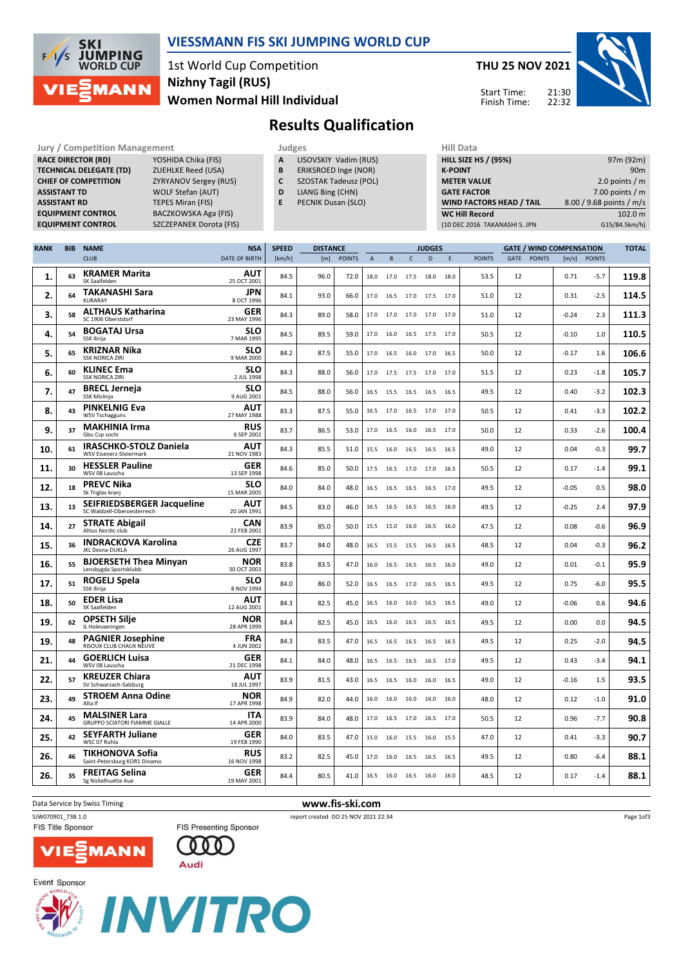

## VIESSMANN FIS SKI JUMPING WORLD CUP

1st World Cup Competition Women Normal Hill Individual Nizhny Tagil (RUS)

THU 25 NOV 2021

Start Time: Finish Time:



# Results Qualification

Jury / Competition Management **Judges** Judges Hill Data<br>
RACE DIRECTOR (RD) YOSHIDA Chika (FIS) **A LISOVSKIY Vadim (RUS)** HILL SIZE HILL SIZE **RACE DIRECTOR (RD) TECHNICAL DELEGATE (TD)** ZUEHLKE Reed (USA)<br>
CHIEF OF COMPETITION ZYRYANOV Sergey (R ASSISTANT TD WOLF Stefan (AUT) **ASSISTANT RD** TEPES Miran (FIS)<br> **EQUIPMENT CONTROL** BACZKOWSKA Aga

ZYRYANOV Sergey (RUS) BACZKOWSKA Aga (FIS) EQUIPMENT CONTROL SZCZEPANEK Dorota (FIS)

- 
- A LISOVSKIY Vadim (RUS)
- **B** ERIKSROED Inge (NOR)<br>**C** SZOSTAK Tadeusz (POL SZOSTAK Tadeusz (POL)
- D LIANG Bing (CHN)
- E PECNIK Dusan (SLO)
	-

| .                               |                          |
|---------------------------------|--------------------------|
| <b>HILL SIZE HS / (95%)</b>     | 97m (92m)                |
| <b>K-POINT</b>                  | 90 <sub>m</sub>          |
| <b>METER VALUE</b>              | 2.0 points $/m$          |
| <b>GATE FACTOR</b>              | 7.00 points $/m$         |
| <b>WIND FACTORS HEAD / TAIL</b> | 8.00 / 9.68 points / m/s |
| <b>WC Hill Record</b>           | 102.0 m                  |
| (10 DEC 2016 TAKANASHI S. JPN   | G15/84.5km/h)            |
|                                 |                          |

| <b>RANK</b> | <b>BIB</b> | <b>NAME</b>                                                      | <b>NSA</b>                | <b>SPEED</b> | <b>DISTANCE</b> |               |                |      |           | <b>JUDGES</b>  |      |               |      |               | <b>GATE / WIND COMPENSATION</b> |               | <b>TOTAL</b> |
|-------------|------------|------------------------------------------------------------------|---------------------------|--------------|-----------------|---------------|----------------|------|-----------|----------------|------|---------------|------|---------------|---------------------------------|---------------|--------------|
|             |            | <b>CLUB</b>                                                      | <b>DATE OF BIRTH</b>      | [km/h]       | [m]             | <b>POINTS</b> | $\overline{A}$ | B    | C         | D              | E    | <b>POINTS</b> | GATE | <b>POINTS</b> | [m/s]                           | <b>POINTS</b> |              |
| 1.          | 63         | <b>KRAMER Marita</b><br>SK Saalfelden                            | AUT<br>25 OCT 2001        | 84.5         | 96.0            | 72.0          | 18.0           | 17.0 | 17.5      | 18.0           | 18.0 | 53.5          | 12   |               | 0.71                            | -5.7          | 119.8        |
| 2.          | 64         | <b>TAKANASHI Sara</b><br><b>KURARAY</b>                          | JPN<br>8 OCT 1996         | 84.1         | 93.0            | 66.0          | 17.0           | 16.5 | 17.0      | 17.5           | 17.0 | 51.0          | 12   |               | 0.31                            | $-2.5$        | 114.5        |
| 3.          | 58         | <b>ALTHAUS Katharina</b><br>SC 1906 Oberstdorf                   | <b>GER</b><br>23 MAY 1996 | 84.3         | 89.0            | 58.0          | 17.0           | 17.0 | 17.0      | 17.0           | 17.0 | 51.0          | 12   |               | $-0.24$                         | 2.3           | 111.3        |
| 4.          | 54         | <b>BOGATAJ Ursa</b><br>SSK Ilirija                               | <b>SLO</b><br>7 MAR 1995  | 84.5         | 89.5            | 59.0          | 17.0           | 16.0 | 16.5 17.5 |                | 17.0 | 50.5          | 12   |               | -0.10                           | 1.0           | 110.5        |
| 5.          | 65         | <b>KRIZNAR Nika</b><br><b>SSK NORICA ZIRI</b>                    | <b>SLO</b><br>9 MAR 2000  | 84.2         | 87.5            | 55.0          | 17.0           | 16.5 | 16.0      | 17.0           | 16.5 | 50.0          | 12   |               | $-0.17$                         | 1.6           | 106.6        |
| 6.          | 60         | <b>KLINEC Ema</b><br><b>SSK NORICA ZIRI</b>                      | <b>SLO</b><br>2 JUL 1998  | 84.3         | 88.0            | 56.0          | 17.0           | 17.5 | 17.5      | 17.0           | 17.0 | 51.5          | 12   |               | 0.23                            | $-1.8$        | 105.7        |
| 7.          | 47         | <b>BRECL Jerneja</b><br>SSK Mislinja                             | <b>SLO</b><br>9 AUG 2001  | 84.5         | 88.0            | 56.0          | 16.5           | 15.5 | 16.5      | 16.5           | 16.5 | 49.5          | 12   |               | 0.40                            | $-3.2$        | 102.3        |
| 8.          | 43         | <b>PINKELNIG Eva</b><br><b>WSV Tschagguns</b>                    | AUT<br>27 MAY 1988        | 83.3         | 87.5            | 55.0          | 16.5           | 17.0 | 16.5      | 17.0           | 17.0 | 50.5          | 12   |               | 0.41                            | $-3.3$        | 102.2        |
| 9.          | 37         | <b>MAKHINIA Irma</b><br>Gbu Csp sochi                            | <b>RUS</b><br>6 SEP 2002  | 83.7         | 86.5            | 53.0          | 17.0           |      | 16.5 16.0 | 16.5 17.0      |      | 50.0          | 12   |               | 0.33                            | $-2.6$        | 100.4        |
| 10.         | 61         | <b>IRASCHKO-STOLZ Daniela</b><br>WSV Eisenerz-Steiermark         | AUT<br>21 NOV 1983        | 84.3         | 85.5            | 51.0          | 15.5           | 16.0 | 16.5      | 16.5           | 16.5 | 49.0          | 12   |               | 0.04                            | $-0.3$        | 99.7         |
| 11.         | 30         | <b>HESSLER Pauline</b><br>WSV 08 Lauscha                         | <b>GER</b><br>13 SEP 1998 | 84.6         | 85.0            | 50.0          | 17.5           | 16.5 | 17.0      | 17.0           | 16.5 | 50.5          | 12   |               | 0.17                            | -1.4          | 99.1         |
| 12.         | 18         | <b>PREVC Nika</b><br>Sk Triglav kranj                            | <b>SLO</b><br>15 MAR 2005 | 84.0         | 84.0            | 48.0          | 16.5           | 16.5 |           | 16.5 16.5 17.0 |      | 49.5          | 12   |               | $-0.05$                         | 0.5           | 98.0         |
| 13.         | 13         | <b>SEIFRIEDSBERGER Jacqueline</b><br>SC Waldzell-Oberoesterreich | <b>AUT</b><br>20 JAN 1991 | 84.5         | 83.0            | 46.0          | 16.5           | 16.5 | 16.5      | 16.5           | 16.0 | 49.5          | 12   |               | $-0.25$                         | 2.4           | 97.9         |
| 14.         | 27         | <b>STRATE Abigail</b><br>Altius Nordic club                      | CAN<br>22 FEB 2001        | 83.9         | 85.0            | 50.0          | 15.5           | 15.0 | 16.0      | 16.5           | 16.0 | 47.5          | 12   |               | 0.08                            | $-0.6$        | 96.9         |
| 15.         | 36         | <b>INDRACKOVA Karolina</b><br>JKL Desna-DUKLA                    | <b>CZE</b><br>26 AUG 1997 | 83.7         | 84.0            | 48.0          | 16.5           | 15.5 | 15.5 16.5 |                | 16.5 | 48.5          | 12   |               | 0.04                            | $-0.3$        | 96.2         |
| 16.         | 55         | <b>BJOERSETH Thea Minyan</b><br>Lensbygda Sportsklubb            | <b>NOR</b><br>30 OCT 2003 | 83.8         | 83.5            | 47.0          | 16.0           | 16.5 | 16.5      | 16.5           | 16.0 | 49.0          | 12   |               | 0.01                            | $-0.1$        | 95.9         |
| 17.         | 51         | ROGELJ Spela<br>SSK Ilirija                                      | <b>SLO</b><br>8 NOV 1994  | 84.0         | 86.0            | 52.0          | 16.5           |      | 16.5 17.0 | 16.5           | 16.5 | 49.5          | 12   |               | 0.75                            | $-6.0$        | 95.5         |
| 18.         | 50         | <b>EDER Lisa</b><br>SK Saalfelden                                | AUT<br>12 AUG 2001        | 84.3         | 82.5            | 45.0          | 16.5           | 16.0 | 16.0      | 16.5           | 16.5 | 49.0          | 12   |               | $-0.06$                         | 0.6           | 94.6         |
| 19.         | 62         | <b>OPSETH Silie</b><br>IL Holevaeringen                          | NOR<br>28 APR 1999        | 84.4         | 82.5            | 45.0          | 16.5           | 16.0 | 16.5      | 16.5           | 16.5 | 49.5          | 12   |               | 0.00                            | 0.0           | 94.5         |
| 19.         | 48         | <b>PAGNIER Josephine</b><br>RISOUX CLUB CHAUX NEUVE              | <b>FRA</b><br>4 JUN 2002  | 84.3         | 83.5            | 47.0          | 16.5           | 16.5 | 16.5      | 16.5           | 16.5 | 49.5          | 12   |               | 0.25                            | $-2.0$        | 94.5         |
| 21,         | 44         | <b>GOERLICH Luisa</b><br>WSV 08 Lauscha                          | <b>GER</b><br>21 DEC 1998 | 84.1         | 84.0            | 48.0          | 16.5           | 16.5 | 16.5      | 16.5           | 17.0 | 49.5          | 12   |               | 0.43                            | -3.4          | 94.1         |
| 22.         | 57         | <b>KREUZER Chiara</b><br>SV Schwarzach-Salzburg                  | AUT<br>18 JUL 1997        | 83.9         | 81.5            | 43.0          | 16.5           | 16.5 | 16.0      | 16.0           | 16.5 | 49.0          | 12   |               | $-0.16$                         | 1.5           | 93.5         |
| 23.         | 49         | <b>STROEM Anna Odine</b><br>Alta If                              | NOR<br>17 APR 1998        | 84.9         | 82.0            | 44.0          | 16.0           | 16.0 | 16.0      | 16.0           | 16.0 | 48.0          | 12   |               | 0.12                            | $-1.0$        | 91.0         |
| 24.         | 45         | <b>MALSINER Lara</b><br>GRUPPO SCIATORI FIAMME GIALLE            | <b>ITA</b><br>14 APR 2000 | 83.9         | 84.0            | 48.0          | 17.0           | 16.5 | 17.0      | 16.5           | 17.0 | 50.5          | 12   |               | 0.96                            | $-7.7$        | 90.8         |
| 25.         | 42         | <b>SEYFARTH Juliane</b><br>WSC 07 Ruhla                          | <b>GER</b><br>19 FEB 1990 | 84.0         | 83.5            | 47.0          | 15.0           | 16.0 | 15.5      | 16.0           | 15.5 | 47.0          | 12   |               | 0.41                            | -3.3          | 90.7         |
| 26.         | 46         | <b>TIKHONOVA Sofia</b><br>Saint-Petersburg KOR1 Dinamo           | <b>RUS</b><br>16 NOV 1998 | 83.2         | 82.5            | 45.0          | 17.0           | 16.0 | 16.5      | 16.5           | 16.5 | 49.5          | 12   |               | 0.80                            | $-6.4$        | 88.1         |
| 26.         | 35         | <b>FREITAG Selina</b><br>Sg Nickelhuette Aue                     | GER<br>19 MAY 2001        | 84.4         | 80.5            | 41.0          | 16.5           | 16.0 | 16.5 16.0 |                | 16.0 | 48.5          | 12   |               | 0.17                            | $-1.4$        | 88.1         |

Data Service by Swiss Timing **WWW.fis-ski.com** 

FIS Presenting Sponsor

SJW070901\_73B 1.0 report created DO 25 NOV 2021 22:34





**VIE** 



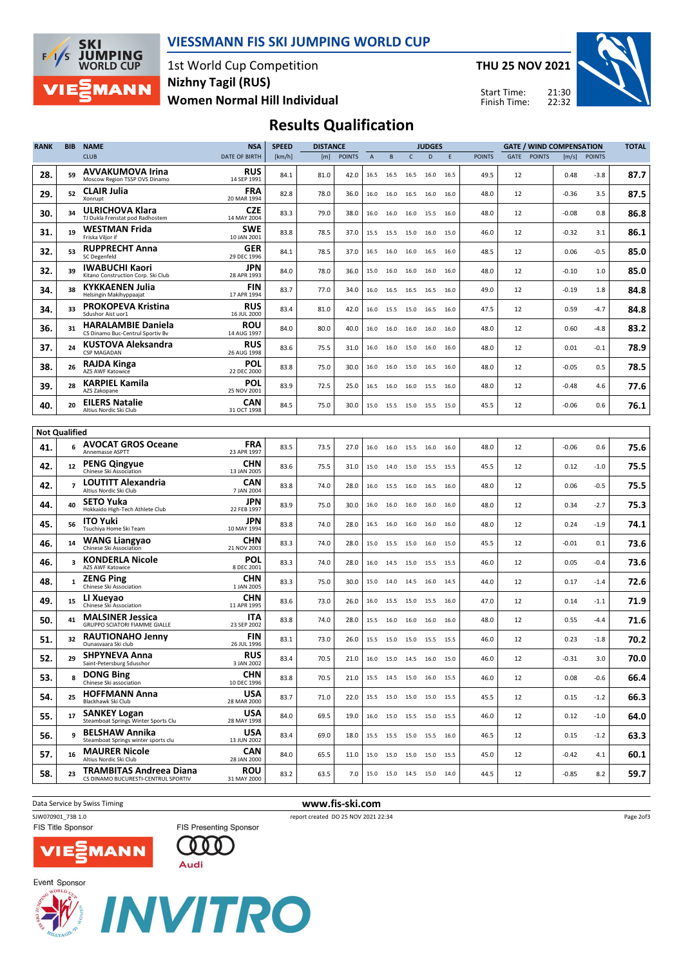

## VIESSMANN FIS SKI JUMPING WORLD CUP

1st World Cup Competition Women Normal Hill Individual Nizhny Tagil (RUS)

THU 25 NOV 2021



21:30 22:32 Start Time: Finish Time:

# Results Qualification

| <b>RANK</b>          | <b>BIB</b>     | <b>NAME</b>                                                           | <b>NSA</b>                | <b>SPEED</b> | <b>DISTANCE</b> |               |                |                |                | <b>JUDGES</b>                        |      |               |      |               | <b>GATE / WIND COMPENSATION</b> |               | <b>TOTAL</b> |
|----------------------|----------------|-----------------------------------------------------------------------|---------------------------|--------------|-----------------|---------------|----------------|----------------|----------------|--------------------------------------|------|---------------|------|---------------|---------------------------------|---------------|--------------|
|                      |                | <b>CLUB</b>                                                           | <b>DATE OF BIRTH</b>      | [km/h]       | [m]             | <b>POINTS</b> | $\overline{A}$ | B              | C.             | D                                    | Ε    | <b>POINTS</b> | GATE | <b>POINTS</b> | [m/s]                           | <b>POINTS</b> |              |
| 28.                  | 59             | <b>AVVAKUMOVA Irina</b><br>Moscow Region TSSP OVS Dinamo              | <b>RUS</b><br>14 SEP 1991 | 84.1         | 81.0            | 42.0          | 16.5           | 16.5           | 16.5           | 16.0                                 | 16.5 | 49.5          | 12   |               | 0.48                            | $-3.8$        | 87.7         |
| 29.                  | 52             | <b>CLAIR Julia</b><br>Xonrupt                                         | <b>FRA</b><br>20 MAR 1994 | 82.8         | 78.0            | 36.0          | 16.0           | 16.0           | 16.5           | 16.0                                 | 16.0 | 48.0          | 12   |               | $-0.36$                         | 3.5           | 87.5         |
| 30.                  | 34             | ULRICHOVA Klara<br>TJ Dukla Frenstat pod Radhostem                    | <b>CZE</b><br>14 MAY 2004 | 83.3         | 79.0            | 38.0          | 16.0           | 16.0           | 16.0           | 15.5                                 | 16.0 | 48.0          | 12   |               | $-0.08$                         | 0.8           | 86.8         |
| 31.                  | 19             | <b>WESTMAN Frida</b><br>Friska Viljor if                              | <b>SWE</b><br>10 JAN 2001 | 83.8         | 78.5            | 37.0          | 15.5           |                | 15.5 15.0 16.0 |                                      | 15.0 | 46.0          | 12   |               | $-0.32$                         | 3.1           | 86.1         |
| 32.                  | 53             | <b>RUPPRECHT Anna</b><br>SC Degenfeld                                 | <b>GER</b><br>29 DEC 1996 | 84.1         | 78.5            | 37.0          | 16.5           | 16.0           | 16.0           | 16.5                                 | 16.0 | 48.5          | 12   |               | 0.06                            | $-0.5$        | 85.0         |
| 32.                  | 39             | <b>IWABUCHI Kaori</b><br>Kitano Construction Corp. Ski Club           | JPN<br>28 APR 1993        | 84.0         | 78.0            | 36.0          | 15.0           | 16.0           | 16.0           | 16.0                                 | 16.0 | 48.0          | 12   |               | $-0.10$                         | 1.0           | 85.0         |
| 34.                  | 38             | <b>KYKKAENEN Julia</b><br>Helsingin Makihyppaajat                     | FIN<br>17 APR 1994        | 83.7         | 77.0            | 34.0          | 16.0           | 16.5           | 16.5           | 16.5                                 | 16.0 | 49.0          | 12   |               | $-0.19$                         | 1.8           | 84.8         |
| 34.                  | 33             | <b>PROKOPEVA Kristina</b><br>Sdushor Aist uor1                        | <b>RUS</b><br>16 JUL 2000 | 83.4         | 81.0            | 42.0          | 16.0           | 15.5           | 15.0           | 16.5                                 | 16.0 | 47.5          | 12   |               | 0.59                            | $-4.7$        | 84.8         |
| 36.                  | 31             | <b>HARALAMBIE Daniela</b><br>CS Dinamo Buc-Centrul Sportiv Bv         | <b>ROU</b><br>14 AUG 1997 | 84.0         | 80.0            | 40.0          | 16.0           | 16.0           | 16.0 16.0      |                                      | 16.0 | 48.0          | 12   |               | 0.60                            | $-4.8$        | 83.2         |
| 37.                  | 24             | <b>KUSTOVA Aleksandra</b><br><b>CSP MAGADAN</b>                       | <b>RUS</b><br>26 AUG 1998 | 83.6         | 75.5            | 31.0          | 16.0           | 16.0           | 15.0           | 16.0                                 | 16.0 | 48.0          | 12   |               | 0.01                            | $-0.1$        | 78.9         |
| 38.                  | 26             | <b>RAJDA Kinga</b><br>AZS AWF Katowice                                | <b>POL</b><br>22 DEC 2000 | 83.8         | 75.0            | 30.0          | 16.0           | 16.0           | 15.0           | 16.5                                 | 16.0 | 48.0          | 12   |               | $-0.05$                         | 0.5           | 78.5         |
| 39.                  | 28             | <b>KARPIEL Kamila</b><br>AZS Zakopane                                 | <b>POL</b><br>25 NOV 2001 | 83.9         | 72.5            | 25.0          | 16.5           | 16.0           | 16.0           | 15.5                                 | 16.0 | 48.0          | 12   |               | $-0.48$                         | 4.6           | 77.6         |
| 40.                  | 20             | <b>EILERS Natalie</b><br>Altius Nordic Ski Club                       | CAN<br>31 OCT 1998        | 84.5         | 75.0            | 30.0          | 15.0           | 15.5 15.0 15.5 |                |                                      | 15.0 | 45.5          | 12   |               | $-0.06$                         | 0.6           | 76.1         |
| <b>Not Qualified</b> |                |                                                                       |                           |              |                 |               |                |                |                |                                      |      |               |      |               |                                 |               |              |
| 41.                  | 6              | <b>AVOCAT GROS Oceane</b><br>Annemasse ASPTT                          | <b>FRA</b><br>23 APR 1997 | 83.5         | 73.5            | 27.0          | 16.0           | 16.0           | 15.5           | 16.0                                 | 16.0 | 48.0          | 12   |               | $-0.06$                         | 0.6           | 75.6         |
| 42.                  | 12             | <b>PENG Qingyue</b><br>Chinese Ski Association                        | CHN<br>13 JAN 2005        | 83.6         | 75.5            | 31.0          | 15.0           |                | 14.0 15.0 15.5 |                                      | 15.5 | 45.5          | 12   |               | 0.12                            | $-1.0$        | 75.5         |
| 42.                  | $\overline{7}$ | <b>LOUTITT Alexandria</b><br>Altius Nordic Ski Club                   | CAN<br>7 JAN 2004         | 83.8         | 74.0            | 28.0          | 16.0           | 15.5           | 16.0           | 16.5                                 | 16.0 | 48.0          | 12   |               | 0.06                            | $-0.5$        | 75.5         |
| 44.                  | 40             | <b>SETO Yuka</b><br>Hokkaido High-Tech Athlete Club                   | JPN<br>22 FEB 1997        | 83.9         | 75.0            | 30.0          | 16.0           | 16.0           | 16.0           | 16.0                                 | 16.0 | 48.0          | 12   |               | 0.34                            | $-2.7$        | 75.3         |
| 45.                  | 56             | <b>ITO Yuki</b><br>Tsuchiya Home Ski Team                             | JPN<br>10 MAY 1994        | 83.8         | 74.0            | 28.0          | 16.5           | 16.0           | 16.0           | 16.0                                 | 16.0 | 48.0          | 12   |               | 0.24                            | $-1.9$        | 74.1         |
| 46.                  | 14             | <b>WANG Liangyao</b><br>Chinese Ski Association                       | CHN<br>21 NOV 2003        | 83.3         | 74.0            | 28.0          | 15.0           | 15.5           | 15.0           | 16.0                                 | 15.0 | 45.5          | 12   |               | $-0.01$                         | 0.1           | 73.6         |
| 46.                  | 3              | <b>KONDERLA Nicole</b><br>AZS AWF Katowice                            | <b>POL</b><br>8 DEC 2001  | 83.3         | 74.0            | 28.0          | 16.0           | 14.5           | 15.0           | 15.5                                 | 15.5 | 46.0          | 12   |               | 0.05                            | $-0.4$        | 73.6         |
| 48.                  | $\mathbf{1}$   | <b>ZENG Ping</b><br>Chinese Ski Association                           | CHN<br>1 JAN 2005         | 83.3         | 75.0            | 30.0          | 15.0           | 14.0           | 14.5           | 16.0                                 | 14.5 | 44.0          | 12   |               | 0.17                            | $-1.4$        | 72.6         |
| 49.                  | 15             | LI Xueyao<br>Chinese Ski Association                                  | CHN<br>11 APR 1995        | 83.6         | 73.0            | 26.0          | 16.0           | 15.5           | 15.0           | 15.5                                 | 16.0 | 47.0          | 12   |               | 0.14                            | $-1.1$        | 71.9         |
| 50.                  | 41             | <b>MALSINER Jessica</b><br><b>GRUPPO SCIATORI FIAMME GIALLE</b>       | <b>ITA</b><br>23 SEP 2002 | 83.8         | 74.0            | 28.0          | 15.5           | 16.0           | 16.0           | 16.0                                 | 16.0 | 48.0          | 12   |               | 0.55                            | -4.4          | 71.6         |
| 51.                  | 32             | <b>RAUTIONAHO Jenny</b><br>Ounasvaara Ski club                        | FIN<br>26 JUL 1996        | 83.1         | 73.0            | 26.0          |                |                |                | 15.5 15.0 15.0 15.5 15.5             |      | 46.0          | 12   |               | 0.23                            | $-1.8$        | 70.2         |
| 52.                  | 29             | <b>SHPYNEVA Anna</b><br>Saint-Petersburg Sdusshor                     | <b>RUS</b><br>3 JAN 2002  | 83.4         | 70.5            | 21.0          | 16.0           |                |                | 15.0 14.5 16.0 15.0                  |      | 46.0          | 12   |               | $-0.31$                         | 3.0           | 70.0         |
| 53.                  | 8              | <b>DONG Bing</b><br>Chinese Ski association                           | <b>CHN</b><br>10 DEC 1996 | 83.8         | 70.5            | 21.0          |                |                |                | 15.5   14.5   15.0   16.0   15.5     |      | 46.0          | 12   |               | 0.08                            | $-0.6$        | 66.4         |
| 54.                  | 25             | <b>HOFFMANN Anna</b><br>Blackhawk Ski Club                            | USA<br>28 MAR 2000        | 83.7         | 71.0            | 22.0          |                |                |                | 15.5 15.0 15.0 15.0 15.5             |      | 45.5          | 12   |               | 0.15                            | $-1.2$        | 66.3         |
| 55.                  | 17             | <b>SANKEY Logan</b><br>Steamboat Springs Winter Sports Clu            | <b>USA</b><br>28 MAY 1998 | 84.0         | 69.5            | 19.0          |                |                |                | 16.0  15.0  15.5  15.0  15.5         |      | 46.0          | 12   |               | 0.12                            | $-1.0$        | 64.0         |
| 56.                  | q              | <b>BELSHAW Annika</b><br>Steamboat Springs winter sports clu          | USA<br>13 JUN 2002        | 83.4         | 69.0            | 18.0          |                |                |                | 15.5    15.5    15.0    15.5    16.0 |      | 46.5          | 12   |               | 0.15                            | $-1.2$        | 63.3         |
| 57.                  | 16             | <b>MAURER Nicole</b><br>Altius Nordic Ski Club                        | CAN<br>28 JAN 2000        | 84.0         | 65.5            | 11.0          |                |                |                | 15.0  15.0  15.0  15.0  15.5         |      | 45.0          | 12   |               | $-0.42$                         | 4.1           | 60.1         |
| 58.                  | 23             | <b>TRAMBITAS Andreea Diana</b><br>CS DINAMO BUCURESTI-CENTRUL SPORTIV | <b>ROU</b><br>31 MAY 2000 | 83.2         | 63.5            | 7.0           |                |                |                | 15.0   15.0   14.5   15.0   14.0     |      | 44.5          | 12   |               | $-0.85$                         | 8.2           | 59.7         |